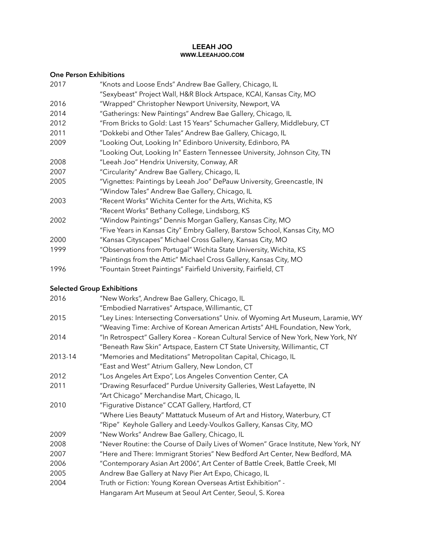#### **LEEAH JOO WWW.LEEAHJOO.COM**

### **One Person Exhibitions**

| 2017 | "Knots and Loose Ends" Andrew Bae Gallery, Chicago, IL                     |
|------|----------------------------------------------------------------------------|
|      | "Sexybeast" Project Wall, H&R Block Artspace, KCAI, Kansas City, MO        |
| 2016 | "Wrapped" Christopher Newport University, Newport, VA                      |
| 2014 | "Gatherings: New Paintings" Andrew Bae Gallery, Chicago, IL                |
| 2012 | "From Bricks to Gold: Last 15 Years" Schumacher Gallery, Middlebury, CT    |
| 2011 | "Dokkebi and Other Tales" Andrew Bae Gallery, Chicago, IL                  |
| 2009 | "Looking Out, Looking In" Edinboro University, Edinboro, PA                |
|      | "Looking Out, Looking In" Eastern Tennessee University, Johnson City, TN   |
| 2008 | "Leeah Joo" Hendrix University, Conway, AR                                 |
| 2007 | "Circularity" Andrew Bae Gallery, Chicago, IL                              |
| 2005 | "Vignettes: Paintings by Leeah Joo" DePauw University, Greencastle, IN     |
|      | "Window Tales" Andrew Bae Gallery, Chicago, IL                             |
| 2003 | "Recent Works" Wichita Center for the Arts, Wichita, KS                    |
|      | "Recent Works" Bethany College, Lindsborg, KS                              |
| 2002 | "Window Paintings" Dennis Morgan Gallery, Kansas City, MO                  |
|      | "Five Years in Kansas City" Embry Gallery, Barstow School, Kansas City, MO |
| 2000 | "Kansas Cityscapes" Michael Cross Gallery, Kansas City, MO                 |
| 1999 | "Observations from Portugal" Wichita State University, Wichita, KS         |
|      | "Paintings from the Attic" Michael Cross Gallery, Kansas City, MO          |
| 1996 | "Fountain Street Paintings" Fairfield University, Fairfield, CT            |

# **Selected Group Exhibitions**

| 2016    | "New Works", Andrew Bae Gallery, Chicago, IL                                      |
|---------|-----------------------------------------------------------------------------------|
|         | "Embodied Narratives" Artspace, Willimantic, CT                                   |
| 2015    | "Ley Lines: Intersecting Conversations" Univ. of Wyoming Art Museum, Laramie, WY  |
|         | "Weaving Time: Archive of Korean American Artists" AHL Foundation, New York,      |
| 2014    | "In Retrospect" Gallery Korea - Korean Cultural Service of New York, New York, NY |
|         | "Beneath Raw Skin" Artspace, Eastern CT State University, Willimantic, CT         |
| 2013-14 | "Memories and Meditations" Metropolitan Capital, Chicago, IL                      |
|         | "East and West" Atrium Gallery, New London, CT                                    |
| 2012    | "Los Angeles Art Expo", Los Angeles Convention Center, CA                         |
| 2011    | "Drawing Resurfaced" Purdue University Galleries, West Lafayette, IN              |
|         | "Art Chicago" Merchandise Mart, Chicago, IL                                       |
| 2010    | "Figurative Distance" CCAT Gallery, Hartford, CT                                  |
|         | "Where Lies Beauty" Mattatuck Museum of Art and History, Waterbury, CT            |
|         | "Ripe" Keyhole Gallery and Leedy-Voulkos Gallery, Kansas City, MO                 |
| 2009    | "New Works" Andrew Bae Gallery, Chicago, IL                                       |
| 2008    | "Never Routine: the Course of Daily Lives of Women" Grace Institute, New York, NY |
| 2007    | "Here and There: Immigrant Stories" New Bedford Art Center, New Bedford, MA       |
| 2006    | "Contemporary Asian Art 2006", Art Center of Battle Creek, Battle Creek, MI       |
| 2005    | Andrew Bae Gallery at Navy Pier Art Expo, Chicago, IL                             |
| 2004    | Truth or Fiction: Young Korean Overseas Artist Exhibition" -                      |
|         | Hangaram Art Museum at Seoul Art Center, Seoul, S. Korea                          |
|         |                                                                                   |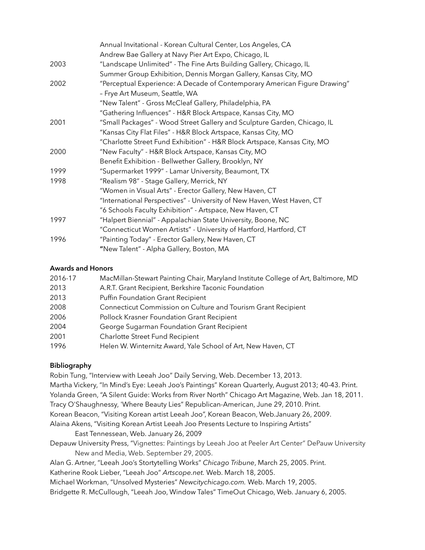| Annual Invitational - Korean Cultural Center, Los Angeles, CA             |
|---------------------------------------------------------------------------|
| Andrew Bae Gallery at Navy Pier Art Expo, Chicago, IL                     |
| "Landscape Unlimited" - The Fine Arts Building Gallery, Chicago, IL       |
| Summer Group Exhibition, Dennis Morgan Gallery, Kansas City, MO           |
| "Perceptual Experience: A Decade of Contemporary American Figure Drawing" |
| - Frye Art Museum, Seattle, WA                                            |
| "New Talent" - Gross McCleaf Gallery, Philadelphia, PA                    |
| "Gathering Influences" - H&R Block Artspace, Kansas City, MO              |
| "Small Packages" - Wood Street Gallery and Sculpture Garden, Chicago, IL  |
| "Kansas City Flat Files" - H&R Block Artspace, Kansas City, MO            |
| "Charlotte Street Fund Exhibition" - H&R Block Artspace, Kansas City, MO  |
| "New Faculty" - H&R Block Artspace, Kansas City, MO                       |
| Benefit Exhibition - Bellwether Gallery, Brooklyn, NY                     |
| "Supermarket 1999" - Lamar University, Beaumont, TX                       |
| "Realism 98" - Stage Gallery, Merrick, NY                                 |
| "Women in Visual Arts" - Erector Gallery, New Haven, CT                   |
| "International Perspectives" - University of New Haven, West Haven, CT    |
| "6 Schools Faculty Exhibition" - Artspace, New Haven, CT                  |
| "Halpert Biennial" - Appalachian State University, Boone, NC              |
| "Connecticut Women Artists" - University of Hartford, Hartford, CT        |
| "Painting Today" - Erector Gallery, New Haven, CT                         |
| "New Talent" - Alpha Gallery, Boston, MA                                  |
|                                                                           |

### **Awards and Honors**

| 2016-17 | MacMillan-Stewart Painting Chair, Maryland Institute College of Art, Baltimore, MD |
|---------|------------------------------------------------------------------------------------|
| 2013    | A.R.T. Grant Recipient, Berkshire Taconic Foundation                               |
| 2013    | Puffin Foundation Grant Recipient                                                  |
| 2008    | Connecticut Commission on Culture and Tourism Grant Recipient                      |
| 2006    | Pollock Krasner Foundation Grant Recipient                                         |
| 2004    | George Sugarman Foundation Grant Recipient                                         |
| 2001    | Charlotte Street Fund Recipient                                                    |
| 1996    | Helen W. Winternitz Award, Yale School of Art, New Haven, CT                       |

# **Bibliography**

Robin Tung, "Interview with Leeah Joo" Daily Serving, Web. December 13, 2013. Martha Vickery, "In Mind's Eye: Leeah Joo's Paintings" Korean Quarterly, August 2013; 40-43. Print. Yolanda Green, "A Silent Guide: Works from River North" Chicago Art Magazine, Web. Jan 18, 2011. Tracy O'Shaughnessy, 'Where Beauty Lies" Republican-American, June 29, 2010. Print. Korean Beacon, "[Visiting Korean artist Leeah Joo",](http://www.koreanbeacon.com/2009/01/26/visiting-korean-artist-leeah-joo-presents-lecture-to-inspiring-artists/) Korean Beacon, Web.January 26, 2009. [Alaina Akens,](http://www.easttennessean.com/search?q=author:) "Visiting Korean Artist Leeah Joo Presents Lecture to Inspiring Artists" East Tennessean, Web. January 26, 2009 Depauw University Press, "Vignettes: Paintings by Leeah Joo at Peeler Art Center" DePauw University

- New and Media, Web. September 29, 2005.
- Alan G. Artner, "Leeah Joo's Stortytelling Works" *Chicago Tribune*, March 25, 2005. Print.

Katherine Rook Lieber, "Leeah Joo" *Artscope.net.* Web. March 18, 2005.

Michael Workman, "Unsolved Mysteries" *Newcitychicago.com.* Web. March 19, 2005.

Bridgette R. McCullough, "Leeah Joo, Window Tales" TimeOut Chicago, Web. January 6, 2005.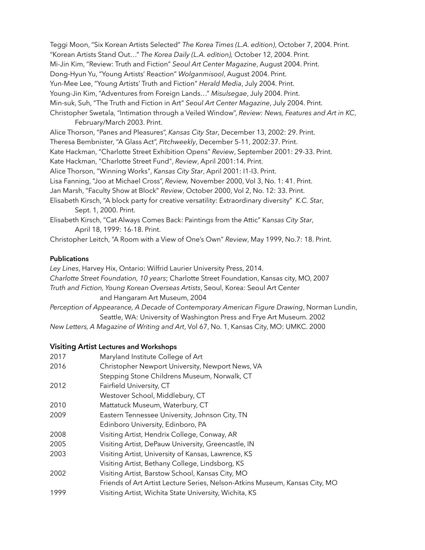Teggi Moon, "Six Korean Artists Selected" *The Korea Times (L.A. edition)*, October 7, 2004. Print. "Korean Artists Stand Out…" *The Korea Daily (L.A. edition),* October 12, 2004. Print. Mi-Jin Kim, "Review: Truth and Fiction" *Seoul Art Center Magazine*, August 2004. Print. Dong-Hyun Yu, "Young Artists' Reaction" *Wolganmisool*, August 2004. Print. Yun-Mee Lee, "Young Artists' Truth and Fiction" *Herald Media*, July 2004. Print. Young-Jin Kim, "Adventures from Foreign Lands…" *Misulsegae*, July 2004. Print. Min-suk, Suh, "The Truth and Fiction in Art" *Seoul Art Center Magazine*, July 2004. Print. Christopher Swetala, "Intimation through a Veiled Window", *Review: News, Features and Art in KC*, February/March 2003. Print. Alice Thorson, "Panes and Pleasures", *Kansas City Star*, December 13, 2002: 29. Print. Theresa Bembnister, "A Glass Act", *Pitchweekly*, December 5-11, 2002:37. Print. Kate Hackman, "Charlotte Street Exhibition Opens" *Review*, September 2001: 29-33. Print. Kate Hackman, "Charlotte Street Fund", *Review*, April 2001:14. Print. Alice Thorson, "Winning Works", *Kansas City Star*, April 2001: I1-I3. Print. Lisa Fanning, "Joo at Michael Cross", *Review,* November 2000, Vol 3, No. 1: 41. Print. Jan Marsh, "Faculty Show at Block" *Review*, October 2000, Vol 2, No. 12: 33. Print. Elisabeth Kirsch, "A block party for creative versatility: Extraordinary diversity" *K.C. Star*, Sept. 1, 2000. Print. Elisabeth Kirsch, "Cat Always Comes Back: Paintings from the Attic" Ka*nsas City Star*, April 18, 1999: 16-18. Print.

Christopher Leitch, "A Room with a View of One's Own" *Review*, May 1999, No.7: 18. Print.

#### **Publications**

*Ley Lines*, Harvey Hix, Ontario: Wilfrid Laurier University Press, 2014. *Charlotte Street Foundation, 10 years*; Charlotte Street Foundation, Kansas city, MO, 2007 *Truth and Fiction, Young Korean Overseas Artists*, Seoul, Korea: Seoul Art Center and Hangaram Art Museum, 2004 *Perception of Appearance, A Decade of Contemporary American Figure Drawing*, Norman Lundin,

Seattle, WA: University of Washington Press and Frye Art Museum. 2002 *New Letters, A Magazine of Writing and Art*, Vol 67, No. 1, Kansas City, MO: UMKC. 2000

#### **Visiting Artist Lectures and Workshops**

| 2017 | Maryland Institute College of Art                                           |
|------|-----------------------------------------------------------------------------|
| 2016 | Christopher Newport University, Newport News, VA                            |
|      | Stepping Stone Childrens Museum, Norwalk, CT                                |
| 2012 | Fairfield University, CT                                                    |
|      | Westover School, Middlebury, CT                                             |
| 2010 | Mattatuck Museum, Waterbury, CT                                             |
| 2009 | Eastern Tennessee University, Johnson City, TN                              |
|      | Edinboro University, Edinboro, PA                                           |
| 2008 | Visiting Artist, Hendrix College, Conway, AR                                |
| 2005 | Visiting Artist, DePauw University, Greencastle, IN                         |
| 2003 | Visiting Artist, University of Kansas, Lawrence, KS                         |
|      | Visiting Artist, Bethany College, Lindsborg, KS                             |
| 2002 | Visiting Artist, Barstow School, Kansas City, MO                            |
|      | Friends of Art Artist Lecture Series, Nelson-Atkins Museum, Kansas City, MO |
| 1999 | Visiting Artist, Wichita State University, Wichita, KS                      |
|      |                                                                             |